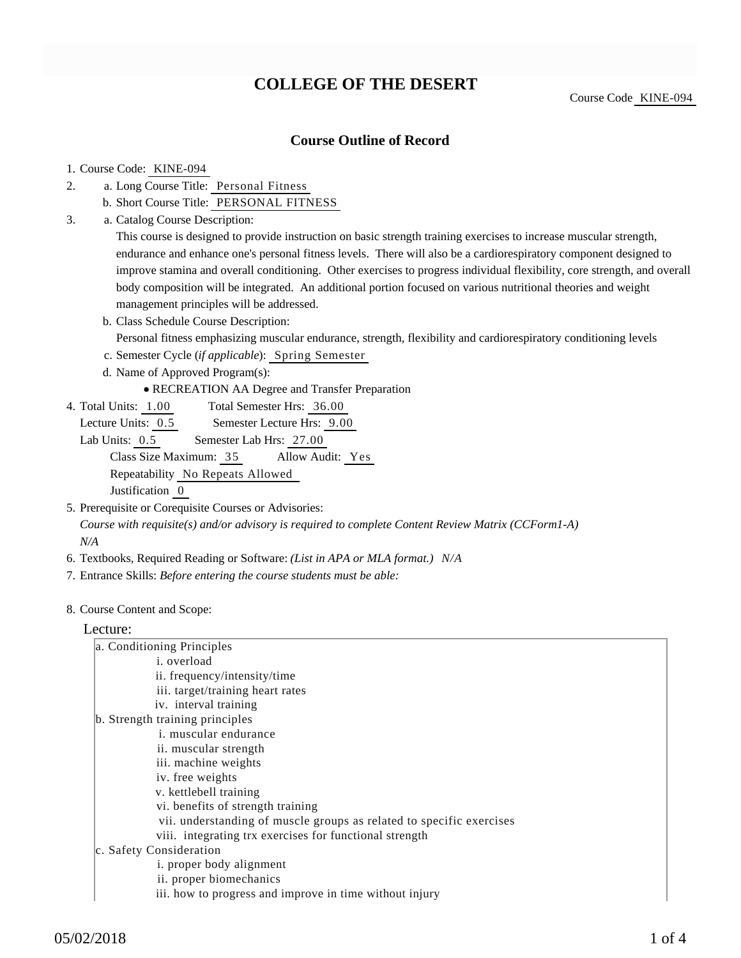# **COLLEGE OF THE DESERT**

Course Code KINE-094

## **Course Outline of Record**

#### 1. Course Code: KINE-094

- a. Long Course Title: Personal Fitness 2.
	- b. Short Course Title: PERSONAL FITNESS
- Catalog Course Description: a. 3.

This course is designed to provide instruction on basic strength training exercises to increase muscular strength, endurance and enhance one's personal fitness levels. There will also be a cardiorespiratory component designed to improve stamina and overall conditioning. Other exercises to progress individual flexibility, core strength, and overall body composition will be integrated. An additional portion focused on various nutritional theories and weight management principles will be addressed.

b. Class Schedule Course Description:

Personal fitness emphasizing muscular endurance, strength, flexibility and cardiorespiratory conditioning levels

- c. Semester Cycle (*if applicable*): Spring Semester
- d. Name of Approved Program(s):

RECREATION AA Degree and Transfer Preparation

Total Semester Hrs: 36.00 4. Total Units: 1.00

Lecture Units:  $0.5$  Semester Lecture Hrs:  $9.00$ 

Lab Units: 0.5 Semester Lab Hrs: 27.00 Class Size Maximum: 35 Allow Audit: Yes Repeatability No Repeats Allowed Justification 0

- 5. Prerequisite or Corequisite Courses or Advisories: *Course with requisite(s) and/or advisory is required to complete Content Review Matrix (CCForm1-A) N/A*
- 6. Textbooks, Required Reading or Software: *(List in APA or MLA format.) N/A*
- 7. Entrance Skills: *Before entering the course students must be able:*
- 8. Course Content and Scope:

#### Lecture:

| a. Conditioning Principles                                           |
|----------------------------------------------------------------------|
| <i>i.</i> overload                                                   |
| ii. frequency/intensity/time                                         |
| iii. target/training heart rates                                     |
| iv. interval training                                                |
| b. Strength training principles                                      |
| <i>i.</i> muscular endurance                                         |
| ii. muscular strength                                                |
| iii. machine weights                                                 |
| iv. free weights                                                     |
| v. kettlebell training                                               |
| vi. benefits of strength training                                    |
| vii. understanding of muscle groups as related to specific exercises |
| viii. integrating trx exercises for functional strength              |
| c. Safety Consideration                                              |
| i. proper body alignment                                             |
| ii. proper biomechanics                                              |
| iii. how to progress and improve in time without injury              |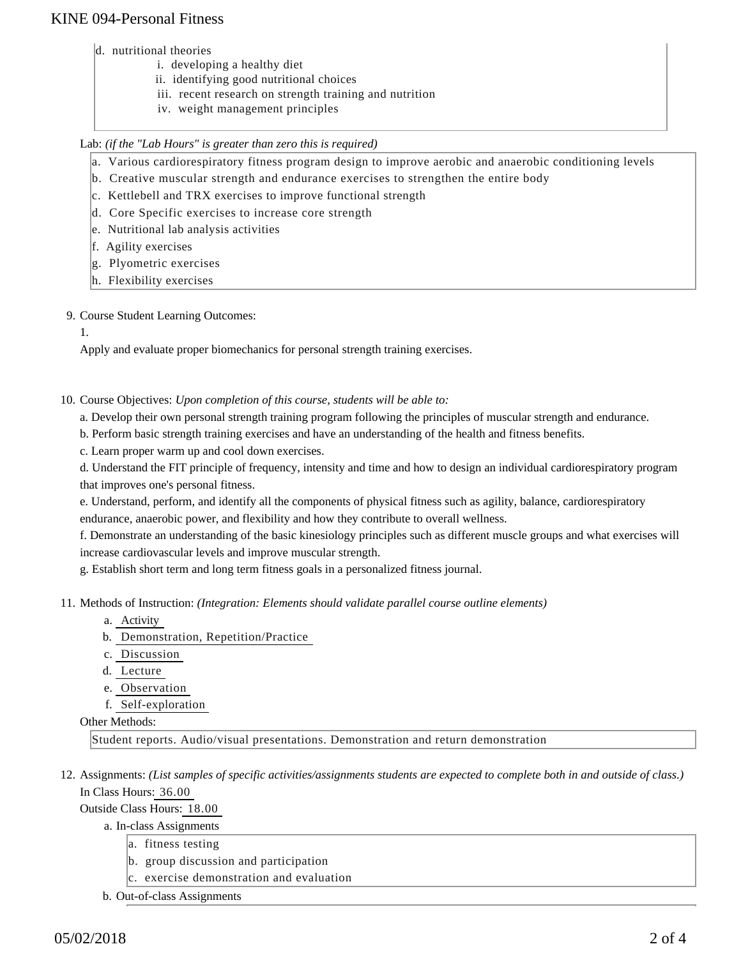# KINE 094-Personal Fitness

- d. nutritional theories
	- i. developing a healthy diet
		- ii. identifying good nutritional choices
		- iii. recent research on strength training and nutrition
		- iv. weight management principles

### Lab: *(if the "Lab Hours" is greater than zero this is required)*

- a. Various cardiorespiratory fitness program design to improve aerobic and anaerobic conditioning levels
- b. Creative muscular strength and endurance exercises to strengthen the entire body
- c. Kettlebell and TRX exercises to improve functional strength
- d. Core Specific exercises to increase core strength
- e. Nutritional lab analysis activities
- f. Agility exercises
- g. Plyometric exercises
- h. Flexibility exercises

### 9. Course Student Learning Outcomes:

1.

Apply and evaluate proper biomechanics for personal strength training exercises.

- 10. Course Objectives: Upon completion of this course, students will be able to:
	- a. Develop their own personal strength training program following the principles of muscular strength and endurance.
	- b. Perform basic strength training exercises and have an understanding of the health and fitness benefits.
	- c. Learn proper warm up and cool down exercises.

d. Understand the FIT principle of frequency, intensity and time and how to design an individual cardiorespiratory program that improves one's personal fitness.

e. Understand, perform, and identify all the components of physical fitness such as agility, balance, cardiorespiratory endurance, anaerobic power, and flexibility and how they contribute to overall wellness.

f. Demonstrate an understanding of the basic kinesiology principles such as different muscle groups and what exercises will increase cardiovascular levels and improve muscular strength.

g. Establish short term and long term fitness goals in a personalized fitness journal.

- 11. Methods of Instruction: *(Integration: Elements should validate parallel course outline elements)* 
	- a. Activity
	- b. Demonstration, Repetition/Practice
	- c. Discussion
	- d. Lecture
	- e. Observation
	- f. Self-exploration

### Other Methods:

Student reports. Audio/visual presentations. Demonstration and return demonstration

12. Assignments: (List samples of specific activities/assignments students are expected to complete both in and outside of class.) In Class Hours: 36.00

Outside Class Hours: 18.00

- a. In-class Assignments
	- a. fitness testing
	- b. group discussion and participation
	- c. exercise demonstration and evaluation
- b. Out-of-class Assignments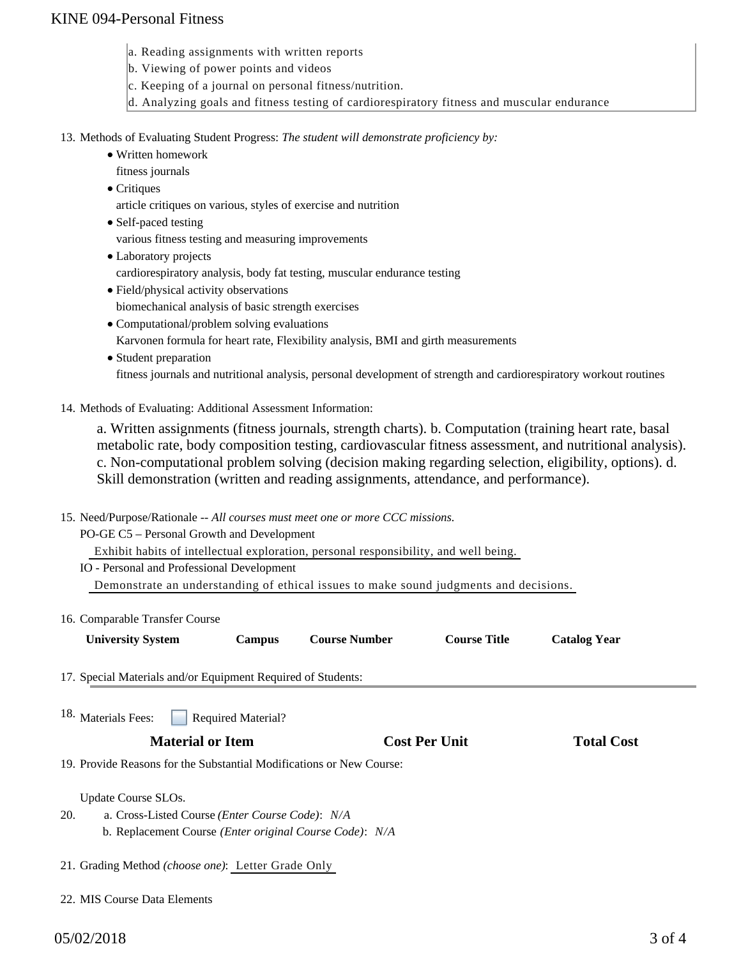# KINE 094-Personal Fitness

- a. Reading assignments with written reports
- b. Viewing of power points and videos
- c. Keeping of a journal on personal fitness/nutrition.
- d. Analyzing goals and fitness testing of cardiorespiratory fitness and muscular endurance

#### 13. Methods of Evaluating Student Progress: The student will demonstrate proficiency by:

- Written homework
	- fitness journals
	- Critiques

article critiques on various, styles of exercise and nutrition

- Self-paced testing various fitness testing and measuring improvements
- Laboratory projects cardiorespiratory analysis, body fat testing, muscular endurance testing
- Field/physical activity observations
- biomechanical analysis of basic strength exercises
- Computational/problem solving evaluations
	- Karvonen formula for heart rate, Flexibility analysis, BMI and girth measurements
- Student preparation fitness journals and nutritional analysis, personal development of strength and cardiorespiratory workout routines
- 14. Methods of Evaluating: Additional Assessment Information:

a. Written assignments (fitness journals, strength charts). b. Computation (training heart rate, basal metabolic rate, body composition testing, cardiovascular fitness assessment, and nutritional analysis). c. Non-computational problem solving (decision making regarding selection, eligibility, options). d. Skill demonstration (written and reading assignments, attendance, and performance).

15. Need/Purpose/Rationale -- All courses must meet one or more CCC missions.

PO-GE C5 – Personal Growth and Development

Exhibit habits of intellectual exploration, personal responsibility, and well being.

IO - Personal and Professional Development Demonstrate an understanding of ethical issues to make sound judgments and decisions.

16. Comparable Transfer Course

| <b>University System</b><br><b>Course Title</b><br><b>Course Number</b><br>Campus | <b>Catalog Year</b> |
|-----------------------------------------------------------------------------------|---------------------|

17. Special Materials and/or Equipment Required of Students:

Required Material? <sup>18.</sup> Materials Fees:

### **Material or Item Cost Per Unit Total Cost**

19. Provide Reasons for the Substantial Modifications or New Course:

Update Course SLOs.

- a. Cross-Listed Course *(Enter Course Code)*: *N/A* b. Replacement Course *(Enter original Course Code)*: *N/A* 20.
- 21. Grading Method *(choose one)*: Letter Grade Only
- 22. MIS Course Data Elements